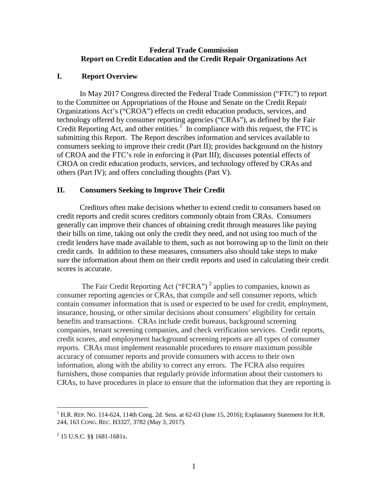#### **Federal Trade Commission Report on Credit Education and the Credit Repair Organizations Act**

#### **I. Report Overview**

In May 2017 Congress directed the Federal Trade Commission ("FTC") to report to the Committee on Appropriations of the House and Senate on the Credit Repair Organizations Act's ("CROA") effects on credit education products, services, and technology offered by consumer reporting agencies ("CRAs"), as defined by the Fair Credit Reporting Act, and other entities. $1$  In compliance with this request, the FTC is submitting this Report. The Report describes information and services available to consumers seeking to improve their credit (Part II); provides background on the history of CROA and the FTC's role in enforcing it (Part III); discusses potential effects of CROA on credit education products, services, and technology offered by CRAs and others (Part IV); and offers concluding thoughts (Part V).

## **II. Consumers Seeking to Improve Their Credit**

Creditors often make decisions whether to extend credit to consumers based on credit reports and credit scores creditors commonly obtain from CRAs. Consumers generally can improve their chances of obtaining credit through measures like paying their bills on time, taking out only the credit they need, and not using too much of the credit lenders have made available to them, such as not borrowing up to the limit on their credit cards. In addition to these measures, consumers also should take steps to make sure the information about them on their credit reports and used in calculating their credit scores is accurate.

The Fair Credit Reporting Act ("FCRA")<sup>[2](#page-0-1)</sup> applies to companies, known as consumer reporting agencies or CRAs, that compile and sell consumer reports, which contain consumer information that is used or expected to be used for credit, employment, insurance, housing, or other similar decisions about consumers' eligibility for certain benefits and transactions. CRAs include credit bureaus, background screening companies, tenant screening companies, and check verification services. Credit reports, credit scores, and employment background screening reports are all types of consumer reports. CRAs must implement reasonable procedures to ensure maximum possible accuracy of consumer reports and provide consumers with access to their own information, along with the ability to correct any errors. The FCRA also requires furnishers, those companies that regularly provide information about their customers to CRAs, to have procedures in place to ensure that the information that they are reporting is

 $\overline{a}$ 

<span id="page-0-0"></span><sup>&</sup>lt;sup>1</sup> H.R. REP. NO. 114-624, 114th Cong. 2d. Sess. at 62-63 (June 15, 2016); Explanatory Statement for H.R. 244, 163 CONG. REC. H3327, 3782 (May 3, 2017).

<span id="page-0-1"></span><sup>2</sup> 15 U.S.C. §§ 1681-1681x.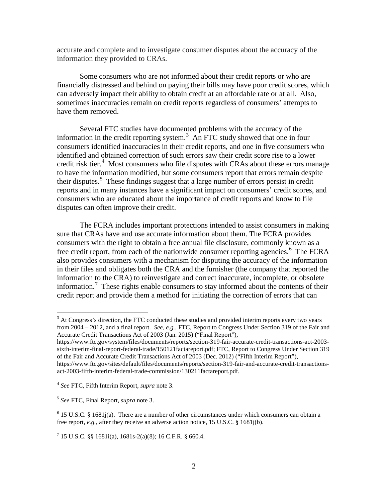accurate and complete and to investigate consumer disputes about the accuracy of the information they provided to CRAs.

Some consumers who are not informed about their credit reports or who are financially distressed and behind on paying their bills may have poor credit scores, which can adversely impact their ability to obtain credit at an affordable rate or at all. Also, sometimes inaccuracies remain on credit reports regardless of consumers' attempts to have them removed.

Several FTC studies have documented problems with the accuracy of the information in the credit reporting system.<sup>[3](#page-1-0)</sup> An FTC study showed that one in four consumers identified inaccuracies in their credit reports, and one in five consumers who identified and obtained correction of such errors saw their credit score rise to a lower credit risk tier.<sup>[4](#page-1-1)</sup> Most consumers who file disputes with CRAs about these errors manage to have the information modified, but some consumers report that errors remain despite their disputes.<sup>[5](#page-1-2)</sup> These findings suggest that a large number of errors persist in credit reports and in many instances have a significant impact on consumers' credit scores, and consumers who are educated about the importance of credit reports and know to file disputes can often improve their credit.

The FCRA includes important protections intended to assist consumers in making sure that CRAs have and use accurate information about them. The FCRA provides consumers with the right to obtain a free annual file disclosure, commonly known as a free credit report, from each of the nationwide consumer reporting agencies.<sup>[6](#page-1-3)</sup> The FCRA also provides consumers with a mechanism for disputing the accuracy of the information in their files and obligates both the CRA and the furnisher (the company that reported the information to the CRA) to reinvestigate and correct inaccurate, incomplete, or obsolete information.<sup>[7](#page-1-4)</sup> These rights enable consumers to stay informed about the contents of their credit report and provide them a method for initiating the correction of errors that can

<span id="page-1-1"></span><sup>4</sup> *See* FTC, Fifth Interim Report, *supra* note 3.

<span id="page-1-0"></span><sup>&</sup>lt;sup>3</sup> At Congress's direction, the FTC conducted these studies and provided interim reports every two years from 2004 – 2012, and a final report. *See, e.g.*, FTC, Report to Congress Under Section 319 of the Fair and Accurate Credit Transactions Act of 2003 (Jan. 2015) ("Final Report"),

https://www.ftc.gov/system/files/documents/reports/section-319-fair-accurate-credit-transactions-act-2003 sixth-interim-final-report-federal-trade/150121factareport.pdf; FTC, Report to Congress Under Section 319 of the Fair and Accurate Credit Transactions Act of 2003 (Dec. 2012) ("Fifth Interim Report"), https://www.ftc.gov/sites/default/files/documents/reports/section-319-fair-and-accurate-credit-transactionsact-2003-fifth-interim-federal-trade-commission/130211factareport.pdf.

<span id="page-1-2"></span><sup>5</sup> *See* FTC, Final Report, *supra* note 3.

<span id="page-1-3"></span> $6$  15 U.S.C. § 1681 $j(a)$ . There are a number of other circumstances under which consumers can obtain a free report, *e.g.*, after they receive an adverse action notice, 15 U.S.C. § 1681j(b).

<span id="page-1-4"></span> $7$  15 U.S.C. §§ 1681i(a), 1681s-2(a)(8); 16 C.F.R. § 660.4.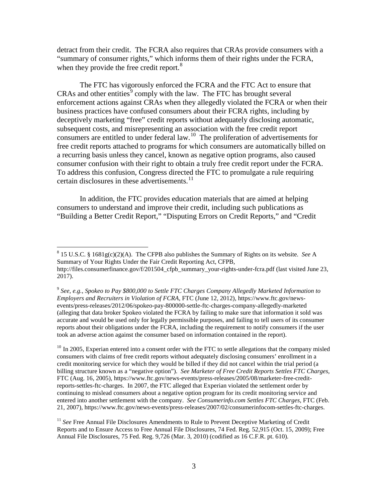detract from their credit. The FCRA also requires that CRAs provide consumers with a "summary of consumer rights," which informs them of their rights under the FCRA, when they provide the free credit report.<sup>[8](#page-2-0)</sup>

The FTC has vigorously enforced the FCRA and the FTC Act to ensure that  $CRAs$  and other entities<sup>[9](#page-2-1)</sup> comply with the law. The FTC has brought several enforcement actions against CRAs when they allegedly violated the FCRA or when their business practices have confused consumers about their FCRA rights, including by deceptively marketing "free" credit reports without adequately disclosing automatic, subsequent costs, and misrepresenting an association with the free credit report consumers are entitled to under federal law.[10](#page-2-2) The proliferation of advertisements for free credit reports attached to programs for which consumers are automatically billed on a recurring basis unless they cancel, known as negative option programs, also caused consumer confusion with their right to obtain a truly free credit report under the FCRA. To address this confusion, Congress directed the FTC to promulgate a rule requiring certain disclosures in these advertisements. $^{11}$ 

In addition, the FTC provides education materials that are aimed at helping consumers to understand and improve their credit, including such publications as "Building a Better Credit Report," "Disputing Errors on Credit Reports," and "Credit

<span id="page-2-2"></span><sup>10</sup> In 2005, Experian entered into a consent order with the FTC to settle allegations that the company misled consumers with claims of free credit reports without adequately disclosing consumers' enrollment in a credit monitoring service for which they would be billed if they did not cancel within the trial period (a billing structure known as a "negative option"). *See Marketer of Free Credit Reports Settles FTC Charges*, FTC (Aug. 16, 2005), https://www.ftc.gov/news-events/press-releases/2005/08/marketer-free-creditreports-settles-ftc-charges. In 2007, the FTC alleged that Experian violated the settlement order by continuing to mislead consumers about a negative option program for its credit monitoring service and entered into another settlement with the company. *See Consumerinfo.com Settles FTC Charges*, FTC (Feb. 21, 2007), https://www.ftc.gov/news-events/press-releases/2007/02/consumerinfocom-settles-ftc-charges.

<span id="page-2-0"></span> <sup>8</sup> 15 U.S.C. § 1681g(c)(2)(A). The CFPB also publishes the Summary of Rights on its website. *See* <sup>A</sup> Summary of Your Rights Under the Fair Credit Reporting Act, CFPB, http://files.consumerfinance.gov/f/201504 cfpb\_summary\_your-rights-under-fcra.pdf (last visited June 23, 2017).

<span id="page-2-1"></span><sup>9</sup> *See, e.g., Spokeo to Pay \$800,000 to Settle FTC Charges Company Allegedly Marketed Information to Employers and Recruiters in Violation of FCRA*, FTC (June 12, 2012), https://www.ftc.gov/newsevents/press-releases/2012/06/spokeo-pay-800000-settle-ftc-charges-company-allegedly-marketed (alleging that data broker Spokeo violated the FCRA by failing to make sure that information it sold was accurate and would be used only for legally permissible purposes, and failing to tell users of its consumer reports about their obligations under the FCRA, including the requirement to notify consumers if the user took an adverse action against the consumer based on information contained in the report).

<span id="page-2-3"></span><sup>&</sup>lt;sup>11</sup> See Free Annual File Disclosures Amendments to Rule to Prevent Deceptive Marketing of Credit Reports and to Ensure Access to Free Annual File Disclosures, 74 Fed. Reg. 52,915 (Oct. 15, 2009); Free Annual File Disclosures, 75 Fed. Reg. 9,726 (Mar. 3, 2010) (codified as 16 C.F.R. pt. 610).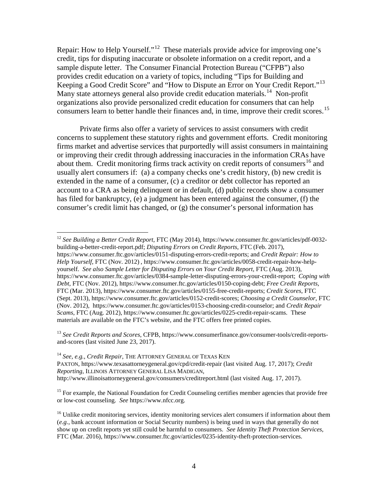Repair: How to Help Yourself."<sup>[12](#page-3-0)</sup> These materials provide advice for improving one's credit, tips for disputing inaccurate or obsolete information on a credit report, and a sample dispute letter. The Consumer Financial Protection Bureau ("CFPB") also provides credit education on a variety of topics, including "Tips for Building and Keeping a Good Credit Score" and "How to Dispute an Error on Your Credit Report."[13](#page-3-1)  Many state attorneys general also provide credit education materials.<sup>[14](#page-3-2)</sup> Non-profit organizations also provide personalized credit education for consumers that can help consumers learn to better handle their finances and, in time, improve their credit scores.<sup>15</sup>

Private firms also offer a variety of services to assist consumers with credit concerns to supplement these statutory rights and government efforts. Credit monitoring firms market and advertise services that purportedly will assist consumers in maintaining or improving their credit through addressing inaccuracies in the information CRAs have about them. Credit monitoring firms track activity on credit reports of consumers<sup>[16](#page-3-4)</sup> and usually alert consumers if: (a) a company checks one's credit history, (b) new credit is extended in the name of a consumer, (c) a creditor or debt collector has reported an account to a CRA as being delinquent or in default, (d) public records show a consumer has filed for bankruptcy, (e) a judgment has been entered against the consumer, (f) the consumer's credit limit has changed, or (g) the consumer's personal information has

<span id="page-3-1"></span><sup>13</sup> *See Credit Reports and Scores*, CFPB[, https://www.consumerfinance.gov/consumer-tools/credit-reports](https://www.consumerfinance.gov/consumer-tools/credit-reports-and-scores)[and-scores](https://www.consumerfinance.gov/consumer-tools/credit-reports-and-scores) (last visited June 23, 2017).

<span id="page-3-2"></span><sup>14</sup> *See*, *e.g.*, *Credit Repair*, THE ATTORNEY GENERAL OF TEXAS KEN PAXTON, https://www.texasattorneygeneral.gov/cpd/credit-repair (last visited Aug. 17, 2017); *Credit Reporting*, ILLINOIS ATTORNEY GENERAL LISA MADIGAN, http://www.illinoisattorneygeneral.gov/consumers/creditreport.html (last visited Aug. 17, 2017).

<span id="page-3-3"></span><sup>15</sup> For example, the National Foundation for Credit Counseling certifies member agencies that provide free or low-cost counseling. *See* https://www.nfcc.org.

<span id="page-3-0"></span> <sup>12</sup> *See Building a Better Credit Report*, FTC (May 2014), [https://www.consumer.ftc.gov/articles/pdf-0032](https://www.consumer.ftc.gov/articles/pdf-0032-building-a-better-credit-report.pdf) [building-a-better-credit-report.pdf;](https://www.consumer.ftc.gov/articles/pdf-0032-building-a-better-credit-report.pdf) *Disputing Errors on Credit Reports*, FTC (Feb. 2017),

[https://www.consumer.ftc.gov/articles/0151-disputing-errors-credit-reports;](https://www.consumer.ftc.gov/articles/0151-disputing-errors-credit-reports) and *Credit Repair: How to Help Yourself*, FTC (Nov. 2012) , [https://www.consumer.ftc.gov/articles/0058-credit-repair-how-help](https://www.consumer.ftc.gov/articles/0058-credit-repair-how-help-yourself)[yourself.](https://www.consumer.ftc.gov/articles/0058-credit-repair-how-help-yourself) *See also Sample Letter for Disputing Errors on Your Credit Report*, FTC (Aug. 2013), [https://www.consumer.ftc.gov/articles/0384-sample-letter-disputing-errors-your-credit-report;](https://www.consumer.ftc.gov/articles/0384-sample-letter-disputing-errors-your-credit-report) *Coping with Debt*, FTC (Nov. 2012)[, https://www.consumer.ftc.gov/articles/0150-coping-debt;](https://www.consumer.ftc.gov/articles/0150-coping-debt) *Free Credit Reports*, FTC (Mar. 2013)[, https://www.consumer.ftc.gov/articles/0155-free-credit-reports;](https://www.consumer.ftc.gov/articles/0155-free-credit-reports) *Credit Scores*, FTC (Sept. 2013)[, https://www.consumer.ftc.gov/articles/0152-credit-scores;](https://www.consumer.ftc.gov/articles/0152-credit-scores) *Choosing a Credit Counselor*, FTC (Nov. 2012), [https://www.consumer.ftc.gov/articles/0153-choosing-credit-counselor;](https://www.consumer.ftc.gov/articles/0153-choosing-credit-counselor) and *Credit Repair Scams*, FTC (Aug. 2012), [https://www.consumer.ftc.gov/articles/0225-credit-repair-scams.](https://www.consumer.ftc.gov/articles/0225-credit-repair-scams) These materials are available on the FTC's website, and the FTC offers free printed copies.

<span id="page-3-4"></span><sup>&</sup>lt;sup>16</sup> Unlike credit monitoring services, identity monitoring services alert consumers if information about them (*e.g.*, bank account information or Social Security numbers) is being used in ways that generally do not show up on credit reports yet still could be harmful to consumers. *See Identity Theft Protection Services*, FTC (Mar. 2016), https://www.consumer.ftc.gov/articles/0235-identity-theft-protection-services.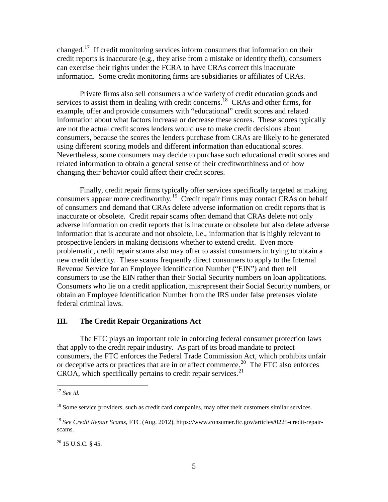changed.<sup>17</sup> If credit monitoring services inform consumers that information on their credit reports is inaccurate (e.g., they arise from a mistake or identity theft), consumers can exercise their rights under the FCRA to have CRAs correct this inaccurate information. Some credit monitoring firms are subsidiaries or affiliates of CRAs.

Private firms also sell consumers a wide variety of credit education goods and services to assist them in dealing with credit concerns.<sup>18</sup> CRAs and other firms, for example, offer and provide consumers with "educational" credit scores and related information about what factors increase or decrease these scores. These scores typically are not the actual credit scores lenders would use to make credit decisions about consumers, because the scores the lenders purchase from CRAs are likely to be generated using different scoring models and different information than educational scores. Nevertheless, some consumers may decide to purchase such educational credit scores and related information to obtain a general sense of their creditworthiness and of how changing their behavior could affect their credit scores.

Finally, credit repair firms typically offer services specifically targeted at making consumers appear more creditworthy.<sup>19</sup> Credit repair firms may contact CRAs on behalf of consumers and demand that CRAs delete adverse information on credit reports that is inaccurate or obsolete. Credit repair scams often demand that CRAs delete not only adverse information on credit reports that is inaccurate or obsolete but also delete adverse information that is accurate and not obsolete, i.e., information that is highly relevant to prospective lenders in making decisions whether to extend credit. Even more problematic, credit repair scams also may offer to assist consumers in trying to obtain a new credit identity. These scams frequently direct consumers to apply to the Internal Revenue Service for an Employee Identification Number ("EIN") and then tell consumers to use the EIN rather than their Social Security numbers on loan applications. Consumers who lie on a credit application, misrepresent their Social Security numbers, or obtain an Employee Identification Number from the IRS under false pretenses violate federal criminal laws.

## <span id="page-4-4"></span>**III. The Credit Repair Organizations Act**

The FTC plays an important role in enforcing federal consumer protection laws that apply to the credit repair industry. As part of its broad mandate to protect consumers, the FTC enforces the Federal Trade Commission Act, which prohibits unfair or deceptive acts or practices that are in or affect commerce.<sup>[20](#page-4-3)</sup> The FTC also enforces CROA, which specifically pertains to credit repair services.<sup>[21](#page-4-4)</sup>

<span id="page-4-3"></span> $20$  15 U.S.C. § 45.

<span id="page-4-0"></span> <sup>17</sup> *See id.*

<span id="page-4-1"></span> $18$  Some service providers, such as credit card companies, may offer their customers similar services.

<span id="page-4-2"></span><sup>19</sup> *See Credit Repair Scams*, FTC (Aug. 2012), https://www.consumer.ftc.gov/articles/0225-credit-repairscams.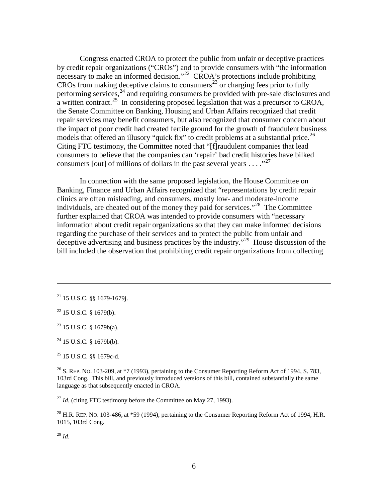Congress enacted CROA to protect the public from unfair or deceptive practices by credit repair organizations ("CROs") and to provide consumers with "the information necessary to make an informed decision."<sup>[22](#page-5-0)</sup> CROA's protections include prohibiting CROs from making deceptive claims to consumers<sup>[23](#page-5-1)</sup> or charging fees prior to fully performing services,<sup>[24](#page-5-2)</sup> and requiring consumers be provided with pre-sale disclosures and a written contract.<sup>25</sup> In considering proposed legislation that was a precursor to CROA, the Senate Committee on Banking, Housing and Urban Affairs recognized that credit repair services may benefit consumers, but also recognized that consumer concern about the impact of poor credit had created fertile ground for the growth of fraudulent business models that offered an illusory "quick fix" to credit problems at a substantial price.<sup>[26](#page-5-4)</sup> Citing FTC testimony, the Committee noted that "[f]raudulent companies that lead consumers to believe that the companies can 'repair' bad credit histories have bilked consumers [out] of millions of dollars in the past several years  $\dots$ <sup>[27](#page-5-5)</sup>

In connection with the same proposed legislation, the House Committee on Banking, Finance and Urban Affairs recognized that "representations by credit repair clinics are often misleading, and consumers, mostly low- and moderate-income individuals, are cheated out of the money they paid for services."[28](#page-5-6) The Committee further explained that CROA was intended to provide consumers with "necessary information about credit repair organizations so that they can make informed decisions regarding the purchase of their services and to protect the public from unfair and deceptive advertising and business practices by the industry."<sup>29</sup> House discussion of the bill included the observation that prohibiting credit repair organizations from collecting

 $\overline{a}$ 

<span id="page-5-1"></span><sup>23</sup> 15 U.S.C. § 1679b(a).

<span id="page-5-2"></span> $24$  15 U.S.C. § 1679b(b).

<span id="page-5-3"></span><sup>25</sup> 15 U.S.C. §§ 1679c-d.

<span id="page-5-4"></span> $^{26}$  S. REP. No. 103-209, at  $*7$  (1993), pertaining to the Consumer Reporting Reform Act of 1994, S. 783, 103rd Cong. This bill, and previously introduced versions of this bill, contained substantially the same language as that subsequently enacted in CROA.

<span id="page-5-5"></span><sup>27</sup> *Id.* (citing FTC testimony before the Committee on May 27, 1993).

<span id="page-5-6"></span><sup>28</sup> H.R. REP. No. 103-486, at \*59 (1994), pertaining to the Consumer Reporting Reform Act of 1994, H.R. 1015, 103rd Cong.

<span id="page-5-7"></span><sup>29</sup> *Id*.

<sup>21</sup> 15 U.S.C. §§ 1679-1679j.

<span id="page-5-0"></span> $22$  15 U.S.C. § 1679(b).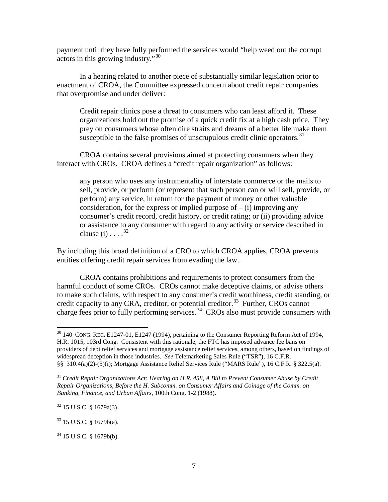payment until they have fully performed the services would "help weed out the corrupt actors in this growing industry."[30](#page-6-0) 

In a hearing related to another piece of substantially similar legislation prior to enactment of CROA, the Committee expressed concern about credit repair companies that overpromise and under deliver:

Credit repair clinics pose a threat to consumers who can least afford it. These organizations hold out the promise of a quick credit fix at a high cash price. They prey on consumers whose often dire straits and dreams of a better life make them susceptible to the false promises of unscrupulous credit clinic operators.<sup>31</sup>

CROA contains several provisions aimed at protecting consumers when they interact with CROs. CROA defines a "credit repair organization" as follows:

any person who uses any instrumentality of interstate commerce or the mails to sell, provide, or perform (or represent that such person can or will sell, provide, or perform) any service, in return for the payment of money or other valuable consideration, for the express or implied purpose of  $-$  (i) improving any consumer's credit record, credit history, or credit rating; or (ii) providing advice or assistance to any consumer with regard to any activity or service described in clause  $(i)$ ....<sup>[32](#page-6-2)</sup>

By including this broad definition of a CRO to which CROA applies, CROA prevents entities offering credit repair services from evading the law.

CROA contains prohibitions and requirements to protect consumers from the harmful conduct of some CROs. CROs cannot make deceptive claims, or advise others to make such claims, with respect to any consumer's credit worthiness, credit standing, or credit capacity to any CRA, creditor, or potential creditor.<sup>[33](#page-6-3)</sup> Further, CROs cannot charge fees prior to fully performing services.<sup>34</sup> CROs also must provide consumers with

<span id="page-6-2"></span> $32$  15 U.S.C. § 1679a(3).

<span id="page-6-3"></span> $33$  15 U.S.C. § 1679b(a).

<span id="page-6-0"></span> $30\,$  140 CONG. REC. E1247-01, E1247 (1994), pertaining to the Consumer Reporting Reform Act of 1994, H.R. 1015, 103rd Cong. Consistent with this rationale, the FTC has imposed advance fee bans on providers of debt relief services and mortgage assistance relief services, among others, based on findings of widespread deception in those industries. *See* Telemarketing Sales Rule ("TSR"), 16 C.F.R. §§ 310.4(a)(2)-(5)(i); Mortgage Assistance Relief Services Rule ("MARS Rule"), 16 C.F.R. § 322.5(a).

<span id="page-6-1"></span><sup>31</sup> *Credit Repair Organizations Act: Hearing on H.R. 458, A Bill to Prevent Consumer Abuse by Credit Repair Organizations, Before the H. Subcomm. on Consumer Affairs and Coinage of the Comm. on Banking, Finance, and Urban Affairs*, 100th Cong. 1-2 (1988).

<span id="page-6-4"></span><sup>34</sup> 15 U.S.C. § 1679b(b).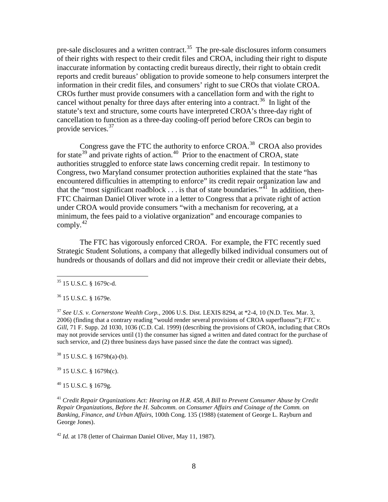pre-sale disclosures and a written contract.<sup>[35](#page-7-0)</sup> The pre-sale disclosures inform consumers of their rights with respect to their credit files and CROA, including their right to dispute inaccurate information by contacting credit bureaus directly, their right to obtain credit reports and credit bureaus' obligation to provide someone to help consumers interpret the information in their credit files, and consumers' right to sue CROs that violate CROA. CROs further must provide consumers with a cancellation form and with the right to cancel without penalty for three days after entering into a contract.<sup>[36](#page-7-1)</sup> In light of the statute's text and structure, some courts have interpreted CROA's three-day right of cancellation to function as a three-day cooling-off period before CROs can begin to provide services. [37](#page-7-2)

Congress gave the FTC the authority to enforce CROA.[38](#page-7-3) CROA also provides for state<sup>[39](#page-7-4)</sup> and private rights of action.<sup>40</sup> Prior to the enactment of CROA, state authorities struggled to enforce state laws concerning credit repair. In testimony to Congress, two Maryland consumer protection authorities explained that the state "has encountered difficulties in attempting to enforce" its credit repair organization law and that the "most significant roadblock  $\ldots$  is that of state boundaries."<sup>41</sup> In addition, then-FTC Chairman Daniel Oliver wrote in a letter to Congress that a private right of action under CROA would provide consumers "with a mechanism for recovering, at a minimum, the fees paid to a violative organization" and encourage companies to comply. $42$ 

The FTC has vigorously enforced CROA. For example, the FTC recently sued Strategic Student Solutions, a company that allegedly bilked individual consumers out of hundreds or thousands of dollars and did not improve their credit or alleviate their debts,

<span id="page-7-4"></span> $39$  15 U.S.C. § 1679h(c).

<span id="page-7-5"></span><sup>40</sup> 15 U.S.C. § 1679g.

<span id="page-7-6"></span><sup>41</sup> *Credit Repair Organizations Act: Hearing on H.R. 458, A Bill to Prevent Consumer Abuse by Credit Repair Organizations, Before the H. Subcomm. on Consumer Affairs and Coinage of the Comm. on Banking, Finance, and Urban Affairs*, 100th Cong. 135 (1988) (statement of George L. Rayburn and George Jones).

<span id="page-7-7"></span><sup>42</sup> *Id.* at 178 (letter of Chairman Daniel Oliver, May 11, 1987).

<span id="page-7-0"></span> <sup>35</sup> 15 U.S.C. § 1679c-d.

<span id="page-7-1"></span><sup>36</sup> 15 U.S.C. § 1679e.

<span id="page-7-2"></span><sup>37</sup> *See U.S. v. Cornerstone Wealth Corp.*, 2006 U.S. Dist. LEXIS 8294, at \*2-4, 10 (N.D. Tex. Mar. 3, 2006) (finding that a contrary reading "would render several provisions of CROA superfluous"); *FTC v. Gill*, 71 F. Supp. 2d 1030, 1036 (C.D. Cal. 1999) (describing the provisions of CROA, including that CROs may not provide services until (1) the consumer has signed a written and dated contract for the purchase of such service, and (2) three business days have passed since the date the contract was signed).

<span id="page-7-3"></span> $38$  15 U.S.C. § 1679h(a)-(b).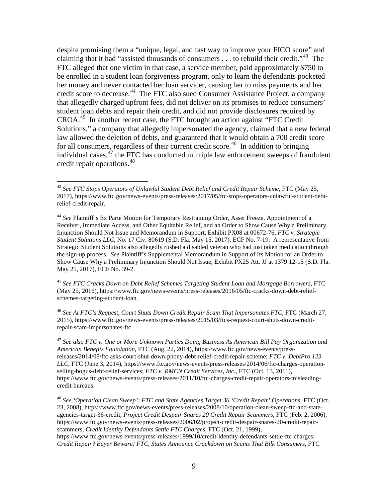despite promising them a "unique, legal, and fast way to improve your FICO score" and claiming that it had "assisted thousands of consumers  $\dots$  to rebuild their credit."<sup>43</sup> The FTC alleged that one victim in that case, a service member, paid approximately \$750 to be enrolled in a student loan forgiveness program, only to learn the defendants pocketed her money and never contacted her loan servicer, causing her to miss payments and her credit score to decrease. [44](#page-8-1) The FTC also sued Consumer Assistance Project, a company that allegedly charged upfront fees, did not deliver on its promises to reduce consumers' student loan debts and repair their credit, and did not provide disclosures required by CROA. [45](#page-8-2) In another recent case, the FTC brought an action against "FTC Credit Solutions," a company that allegedly impersonated the agency, claimed that a new federal law allowed the deletion of debts, and guaranteed that it would obtain a 700 credit score for all consumers, regardless of their current credit score.<sup>[46](#page-8-3)</sup> In addition to bringing individual cases,  $47$  the FTC has conducted multiple law enforcement sweeps of fraudulent credit repair operations. [48](#page-8-5)

<span id="page-8-2"></span><sup>45</sup> *See FTC Cracks Down on Debt Relief Schemes Targeting Student Loan and Mortgage Borrowers*, FTC (May 25, 2016), https://www.ftc.gov/news-events/press-releases/2016/05/ftc-cracks-down-debt-reliefschemes-targeting-student-loan.

<span id="page-8-3"></span><sup>46</sup> *See At FTC's Request, Court Shuts Down Credit Repair Scam That Impersonates FTC*, FTC (March 27, 2015), https://www.ftc.gov/news-events/press-releases/2015/03/ftcs-request-court-shuts-down-creditrepair-scam-impersonates-ftc.

<span id="page-8-4"></span><sup>47</sup> *See also FTC v. One or More Unknown Parties Doing Business As American Bill Pay Organization and American Benefits Foundation*, FTC (Aug. 22, 2014), https://www.ftc.gov/news-events/pressreleases/2014/08/ftc-asks-court-shut-down-phony-debt-relief-credit-repair-scheme; *FTC v. DebtPro 123 LLC*, FTC (June 3, 2014), https://www.ftc.gov/news-events/press-releases/2014/06/ftc-charges-operationselling-bogus-debt-relief-services; *FTC v. RMCN Credit Services, Inc.*, FTC (Oct. 13, 2011), https://www.ftc.gov/news-events/press-releases/2011/10/ftc-charges-credit-repair-operators-misleadingcredit-bureaus.

<span id="page-8-5"></span><sup>48</sup> *See 'Operation Clean Sweep': FTC and State Agencies Target 36 'Credit Repair' Operations*, FTC (Oct. 23, 2008), https://www.ftc.gov/news-events/press-releases/2008/10/operation-clean-sweep-ftc-and-stateagencies-target-36-credit; *Project Credit Despair Snares 20 Credit Repair Scammers*, FTC (Feb. 2, 2006), https://www.ftc.gov/news-events/press-releases/2006/02/project-credit-despair-snares-20-credit-repairscammers; *Credit Identity Defendants Settle FTC Charges*, FTC (Oct. 21, 1999), https://www.ftc.gov/news-events/press-releases/1999/10/credit-identity-defendants-settle-ftc-charges; *Credit Repair? Buyer Beware! FTC, States Announce Crackdown on Scams That Bilk Consumers*, FTC

<span id="page-8-0"></span> <sup>43</sup> *See FTC Stops Operators of Unlawful Student Debt Relief and Credit Repair Scheme*, FTC (May 25, 2017), https://www.ftc.gov/news-events/press-releases/2017/05/ftc-stops-operators-unlawful-student-debtrelief-credit-repair.

<span id="page-8-1"></span><sup>44</sup> *See* Plaintiff's Ex Parte Motion for Temporary Restraining Order, Asset Freeze, Appointment of a Receiver, Immediate Access, and Other Equitable Relief, and an Order to Show Cause Why a Preliminary Injunction Should Not Issue and Memorandum in Support, Exhibit PX08 at 00672-76, *FTC v. Strategic Student Solutions LLC*, No. 17 Civ. 80619 (S.D. Fla. May 15, 2017), ECF No. 7-19. A representative from Strategic Student Solutions also allegedly rushed a disabled veteran who had just taken medication through the sign-up process. *See* Plaintiff's Supplemental Memorandum in Support of Its Motion for an Order to Show Cause Why a Preliminary Injunction Should Not Issue, Exhibit PX25 Att. JJ at 1379:12-15 (S.D. Fla. May 25, 2017), ECF No. 39-2.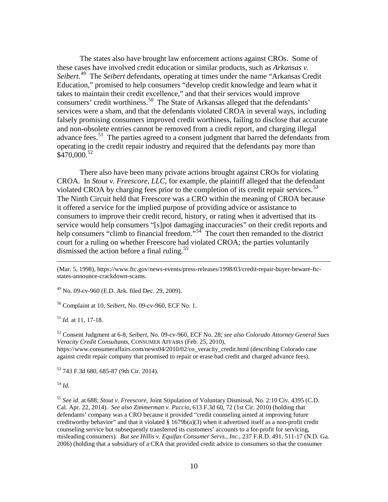The states also have brought law enforcement actions against CROs. Some of these cases have involved credit education or similar products, such as *Arkansas v. Seibert*. [49](#page-9-0) The *Seibert* defendants, operating at times under the name "Arkansas Credit Education," promised to help consumers "develop credit knowledge and learn what it takes to maintain their credit excellence," and that their services would improve consumers' credit worthiness.<sup>[50](#page-9-1)</sup> The State of Arkansas alleged that the defendants' services were a sham, and that the defendants violated CROA in several ways, including falsely promising consumers improved credit worthiness, failing to disclose that accurate and non-obsolete entries cannot be removed from a credit report, and charging illegal advance fees.<sup>[51](#page-9-2)</sup> The parties agreed to a consent judgment that barred the defendants from operating in the credit repair industry and required that the defendants pay more than  $$470,000.<sup>52</sup>$  $$470,000.<sup>52</sup>$  $$470,000.<sup>52</sup>$ 

There also have been many private actions brought against CROs for violating CROA. In *Stout v. Freescore, LLC*, for example, the plaintiff alleged that the defendant violated CROA by charging fees prior to the completion of its credit repair services.<sup>[53](#page-9-4)</sup> The Ninth Circuit held that Freescore was a CRO within the meaning of CROA because it offered a service for the implied purpose of providing advice or assistance to consumers to improve their credit record, history, or rating when it advertised that its service would help consumers "[s]pot damaging inaccuracies" on their credit reports and help consumers "climb to financial freedom."<sup>[54](#page-9-5)</sup> The court then remanded to the district court for a ruling on whether Freescore had violated CROA; the parties voluntarily dismissed the action before a final ruling.<sup>[55](#page-9-6)</sup>

<span id="page-9-0"></span> $^{49}$  No. 09-cv-960 (E.D. Ark. filed Dec. 29, 2009).

<span id="page-9-1"></span><sup>50</sup> Complaint at 10, *Seibert*, No. 09-cv-960, ECF No. 1.

<span id="page-9-2"></span><sup>51</sup> *Id.* at 11, 17-18.

<span id="page-9-3"></span><sup>52</sup> Consent Judgment at 6-8, *Seibert*, No. 09-cv-960, ECF No. 28; *see also Colorado Attorney General Sues Veracity Credit Consultants*, CONSUMER AFFAIRS (Feb. 25, 2010), https://www.consumeraffairs.com/news04/2010/02/co\_veracity\_credit.html (describing Colorado case against credit repair company that promised to repair or erase bad credit and charged advance fees).

<span id="page-9-4"></span><sup>53</sup> 743 F.3d 680, 685-87 (9th Cir. 2014).

<span id="page-9-5"></span><sup>54</sup> *Id.* 

 $\overline{a}$ 

<span id="page-9-6"></span><sup>55</sup> *See id.* at 688; *Stout v. Freescore*, Joint Stipulation of Voluntary Dismissal, No. 2:10 Civ. 4395 (C.D. Cal. Apr. 22, 2014). *See also Zimmerman v. Puccio*, 613 F.3d 60, 72 (1st Cir. 2010) (holding that defendants' company was a CRO because it provided "credit counseling aimed at improving future creditworthy behavior" and that it violated  $\S 1679b(a)(3)$  when it advertised itself as a non-profit credit counseling service but subsequently transferred its customers' accounts to a for-profit for servicing, misleading consumers). *But see Hillis v. Equifax Consumer Servs., Inc*., 237 F.R.D. 491, 511-17 (N.D. Ga. 2006) (holding that a subsidiary of a CRA that provided credit advice to consumers so that the consumer

<sup>(</sup>Mar. 5, 1998), https://www.ftc.gov/news-events/press-releases/1998/03/credit-repair-buyer-beware-ftcstates-announce-crackdown-scams.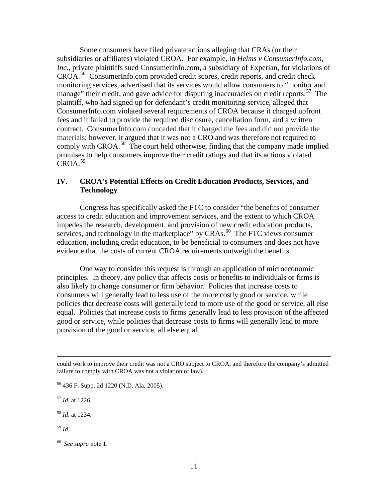Some consumers have filed private actions alleging that CRAs (or their subsidiaries or affiliates) violated CROA. For example, in *Helms v ConsumerInfo.com, Inc.*, private plaintiffs sued ConsumerInfo.com, a subsidiary of Experian, for violations of CROA.<sup>[56](#page-10-0)</sup> ConsumerInfo.com provided credit scores, credit reports, and credit check monitoring services, advertised that its services would allow consumers to "monitor and manage" their credit, and gave advice for disputing inaccuracies on credit reports.<sup>[57](#page-10-1)</sup> The plaintiff, who had signed up for defendant's credit monitoring service, alleged that ConsumerInfo.com violated several requirements of CROA because it charged upfront fees and it failed to provide the required disclosure, cancellation form, and a written contract. ConsumerInfo.com conceded that it charged the fees and did not provide the materials; however, it argued that it was not a CRO and was therefore not required to comply with CROA.<sup>[58](#page-10-2)</sup> The court held otherwise, finding that the company made implied promises to help consumers improve their credit ratings and that its actions violated  $CROA.<sup>59</sup>$  $CROA.<sup>59</sup>$  $CROA.<sup>59</sup>$ 

# **IV. CROA's Potential Effects on Credit Education Products, Services, and Technology**

Congress has specifically asked the FTC to consider "the benefits of consumer access to credit education and improvement services, and the extent to which CROA impedes the research, development, and provision of new credit education products, services, and technology in the marketplace" by CRAs.<sup>[60](#page-10-4)</sup> The FTC views consumer education, including credit education, to be beneficial to consumers and does not have evidence that the costs of current CROA requirements outweigh the benefits.

One way to consider this request is through an application of microeconomic principles. In theory, any policy that affects costs or benefits to individuals or firms is also likely to change consumer or firm behavior. Policies that increase costs to consumers will generally lead to less use of the more costly good or service, while policies that decrease costs will generally lead to more use of the good or service, all else equal. Policies that increase costs to firms generally lead to less provision of the affected good or service, while policies that decrease costs to firms will generally lead to more provision of the good or service, all else equal.

could work to improve their credit was not a CRO subject to CROA, and therefore the company's admitted failure to comply with CROA was not a violation of law).

<span id="page-10-2"></span><sup>58</sup> *Id*. at 1234.

<span id="page-10-3"></span><sup>59</sup> *Id*.

 $\overline{a}$ 

<span id="page-10-0"></span><sup>56</sup> 436 F. Supp. 2d 1220 (N.D. Ala. 2005).

<span id="page-10-1"></span><sup>57</sup> *Id.* at 1226.

<span id="page-10-4"></span><sup>60</sup> *See supra* note 1.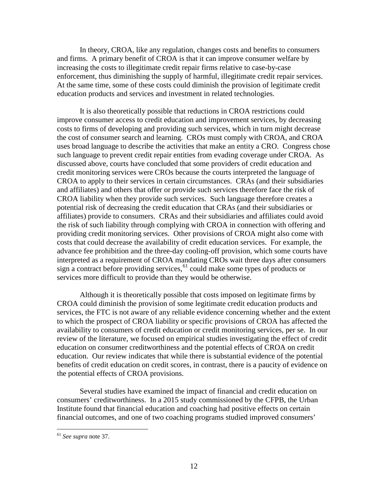In theory, CROA, like any regulation, changes costs and benefits to consumers and firms. A primary benefit of CROA is that it can improve consumer welfare by increasing the costs to illegitimate credit repair firms relative to case-by-case enforcement, thus diminishing the supply of harmful, illegitimate credit repair services. At the same time, some of these costs could diminish the provision of legitimate credit education products and services and investment in related technologies.

It is also theoretically possible that reductions in CROA restrictions could improve consumer access to credit education and improvement services, by decreasing costs to firms of developing and providing such services, which in turn might decrease the cost of consumer search and learning. CROs must comply with CROA, and CROA uses broad language to describe the activities that make an entity a CRO. Congress chose such language to prevent credit repair entities from evading coverage under CROA. As discussed above, courts have concluded that some providers of credit education and credit monitoring services were CROs because the courts interpreted the language of CROA to apply to their services in certain circumstances. CRAs (and their subsidiaries and affiliates) and others that offer or provide such services therefore face the risk of CROA liability when they provide such services. Such language therefore creates a potential risk of decreasing the credit education that CRAs (and their subsidiaries or affiliates) provide to consumers. CRAs and their subsidiaries and affiliates could avoid the risk of such liability through complying with CROA in connection with offering and providing credit monitoring services. Other provisions of CROA might also come with costs that could decrease the availability of credit education services. For example, the advance fee prohibition and the three-day cooling-off provision, which some courts have interpreted as a requirement of CROA mandating CROs wait three days after consumers sign a contract before providing services,  $61$  could make some types of products or services more difficult to provide than they would be otherwise.

Although it is theoretically possible that costs imposed on legitimate firms by CROA could diminish the provision of some legitimate credit education products and services, the FTC is not aware of any reliable evidence concerning whether and the extent to which the prospect of CROA liability or specific provisions of CROA has affected the availability to consumers of credit education or credit monitoring services, per se. In our review of the literature, we focused on empirical studies investigating the effect of credit education on consumer creditworthiness and the potential effects of CROA on credit education. Our review indicates that while there is substantial evidence of the potential benefits of credit education on credit scores, in contrast, there is a paucity of evidence on the potential effects of CROA provisions.

Several studies have examined the impact of financial and credit education on consumers' creditworthiness. In a 2015 study commissioned by the CFPB, the Urban Institute found that financial education and coaching had positive effects on certain financial outcomes, and one of two coaching programs studied improved consumers'

<span id="page-11-0"></span> <sup>61</sup> *See supra* note 37.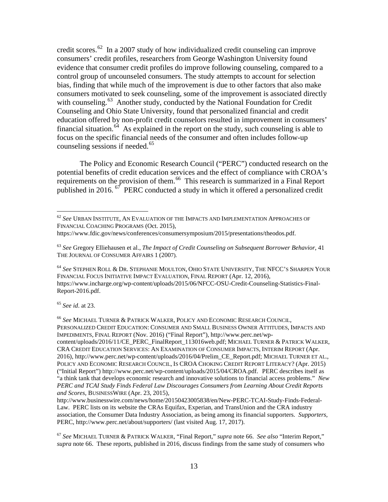credit scores.<sup>[62](#page-12-0)</sup> In a 2007 study of how individualized credit counseling can improve consumers' credit profiles, researchers from George Washington University found evidence that consumer credit profiles do improve following counseling, compared to a control group of uncounseled consumers. The study attempts to account for selection bias, finding that while much of the improvement is due to other factors that also make consumers motivated to seek counseling, some of the improvement is associated directly with counseling.<sup>[63](#page-12-1)</sup> Another study, conducted by the National Foundation for Credit Counseling and Ohio State University, found that personalized financial and credit education offered by non-profit credit counselors resulted in improvement in consumers' financial situation.<sup>[64](#page-12-2)</sup> As explained in the report on the study, such counseling is able to focus on the specific financial needs of the consumer and often includes follow-up counseling sessions if needed. [65](#page-12-3)

The Policy and Economic Research Council ("PERC") conducted research on the potential benefits of credit education services and the effect of compliance with CROA's requirements on the provision of them.<sup>[66](#page-12-4)</sup> This research is summarized in a Final Report published in 2016.<sup>67</sup> PERC conducted a study in which it offered a personalized credit

<span id="page-12-2"></span><sup>64</sup> *See* STEPHEN ROLL & DR. STEPHANIE MOULTON, OHIO STATE UNIVERSITY, THE NFCC'S SHARPEN YOUR FINANCIAL FOCUS INITIATIVE IMPACT EVALUATION, FINAL REPORT (Apr. 12, 2016), https://www.incharge.org/wp-content/uploads/2015/06/NFCC-OSU-Credit-Counseling-Statistics-Final-Report-2016.pdf.

<span id="page-12-3"></span><sup>65</sup> *See id*. at 23.

<span id="page-12-4"></span><sup>66</sup> *See* MICHAEL TURNER & PATRICK WALKER, POLICY AND ECONOMIC RESEARCH COUNCIL, PERSONALIZED CREDIT EDUCATION: CONSUMER AND SMALL BUSINESS OWNER ATTITUDES, IMPACTS AND IMPEDIMENTS, FINAL REPORT (Nov. 2016) ("Final Report"), http://www.perc.net/wpcontent/uploads/2016/11/CE\_PERC\_FinalReport\_113016web.pdf; MICHAEL TURNER & PATRICK WALKER, CRA CREDIT EDUCATION SERVICES: AN EXAMINATION OF CONSUMER IMPACTS, INTERIM REPORT (Apr. 2016), http://www.perc.net/wp-content/uploads/2016/04/Prelim\_CE\_Report.pdf; MICHAEL TURNER ET AL., POLICY AND ECONOMIC RESEARCH COUNCIL, IS CROA CHOKING CREDIT REPORT LITERACY? (Apr. 2015) ("Initial Report") http://www.perc.net/wp-content/uploads/2015/04/CROA.pdf. PERC describes itself as "a think tank that develops economic research and innovative solutions to financial access problems." *New PERC and TCAI Study Finds Federal Law Discourages Consumers from Learning About Credit Reports and Scores*, BUSINESSWIRE (Apr. 23, 2015),

http://www.businesswire.com/news/home/20150423005838/en/New-PERC-TCAI-Study-Finds-Federal-Law. PERC lists on its website the CRAs Equifax, Experian, and TransUnion and the CRA industry association, the Consumer Data Industry Association, as being among its financial supporters. *Supporters*, PERC, http://www.perc.net/about/supporters/ (last visited Aug. 17, 2017).

<span id="page-12-5"></span><sup>67</sup> *See* MICHAEL TURNER & PATRICK WALKER, "Final Report," *supra* note 66. *See also* "Interim Report," *supra* note 66. These reports, published in 2016, discuss findings from the same study of consumers who

<span id="page-12-0"></span> <sup>62</sup> *See* URBAN INSTITUTE, AN EVALUATION OF THE IMPACTS AND IMPLEMENTATION APPROACHES OF FINANCIAL COACHING PROGRAMS (Oct. 2015),

https://www.fdic.gov/news/conferences/consumersymposium/2015/presentations/theodos.pdf.

<span id="page-12-1"></span><sup>63</sup> *See* Gregory Elliehausen et al., *The Impact of Credit Counseling on Subsequent Borrower Behavior,* 41 THE JOURNAL OF CONSUMER AFFAIRS 1 (2007).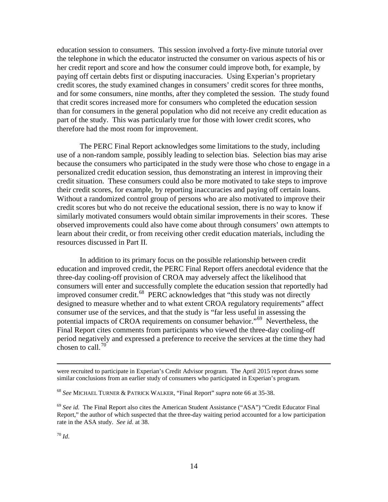education session to consumers. This session involved a forty-five minute tutorial over the telephone in which the educator instructed the consumer on various aspects of his or her credit report and score and how the consumer could improve both, for example, by paying off certain debts first or disputing inaccuracies. Using Experian's proprietary credit scores, the study examined changes in consumers' credit scores for three months, and for some consumers, nine months, after they completed the session. The study found that credit scores increased more for consumers who completed the education session than for consumers in the general population who did not receive any credit education as part of the study. This was particularly true for those with lower credit scores, who therefore had the most room for improvement.

The PERC Final Report acknowledges some limitations to the study, including use of a non-random sample, possibly leading to selection bias. Selection bias may arise because the consumers who participated in the study were those who chose to engage in a personalized credit education session, thus demonstrating an interest in improving their credit situation. These consumers could also be more motivated to take steps to improve their credit scores, for example, by reporting inaccuracies and paying off certain loans. Without a randomized control group of persons who are also motivated to improve their credit scores but who do not receive the educational session, there is no way to know if similarly motivated consumers would obtain similar improvements in their scores. These observed improvements could also have come about through consumers' own attempts to learn about their credit, or from receiving other credit education materials, including the resources discussed in Part II.

In addition to its primary focus on the possible relationship between credit education and improved credit, the PERC Final Report offers anecdotal evidence that the three-day cooling-off provision of CROA may adversely affect the likelihood that consumers will enter and successfully complete the education session that reportedly had improved consumer credit. $^{68}$  PERC acknowledges that "this study was not directly designed to measure whether and to what extent CROA regulatory requirements" affect consumer use of the services, and that the study is "far less useful in assessing the potential impacts of CROA requirements on consumer behavior."[69](#page-13-1) Nevertheless, the Final Report cites comments from participants who viewed the three-day cooling-off period negatively and expressed a preference to receive the services at the time they had chosen to call. $70$ 

were recruited to participate in Experian's Credit Advisor program. The April 2015 report draws some similar conclusions from an earlier study of consumers who participated in Experian's program.

<span id="page-13-0"></span><sup>68</sup> *See* MICHAEL TURNER & PATRICK WALKER, "Final Report" *supra* note 66 at 35-38.

<span id="page-13-2"></span><span id="page-13-1"></span><sup>69</sup> *See id.* The Final Report also cites the American Student Assistance ("ASA") "Credit Educator Final Report," the author of which suspected that the three-day waiting period accounted for a low participation rate in the ASA study. *See id.* at 38.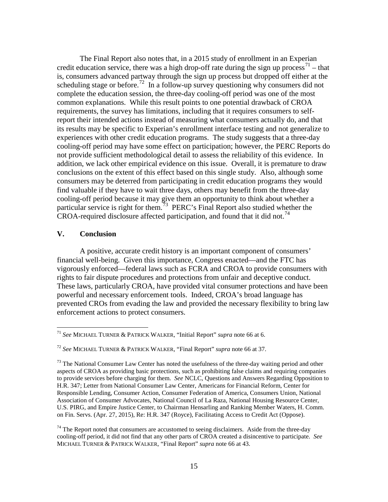The Final Report also notes that, in a 2015 study of enrollment in an Experian credit education service, there was a high drop-off rate during the sign up process<sup>[71](#page-14-0)</sup> – that is, consumers advanced partway through the sign up process but dropped off either at the scheduling stage or before.<sup>[72](#page-14-1)</sup> In a follow-up survey questioning why consumers did not complete the education session, the three-day cooling-off period was one of the most common explanations. While this result points to one potential drawback of CROA requirements, the survey has limitations, including that it requires consumers to selfreport their intended actions instead of measuring what consumers actually do, and that its results may be specific to Experian's enrollment interface testing and not generalize to experiences with other credit education programs. The study suggests that a three-day cooling-off period may have some effect on participation; however, the PERC Reports do not provide sufficient methodological detail to assess the reliability of this evidence. In addition, we lack other empirical evidence on this issue. Overall, it is premature to draw conclusions on the extent of this effect based on this single study. Also, although some consumers may be deterred from participating in credit education programs they would find valuable if they have to wait three days, others may benefit from the three-day cooling-off period because it may give them an opportunity to think about whether a particular service is right for them.<sup>[73](#page-14-2)</sup> PERC's Final Report also studied whether the CROA-required disclosure affected participation, and found that it did not.<sup>[74](#page-14-3)</sup>

## **V. Conclusion**

A positive, accurate credit history is an important component of consumers' financial well-being. Given this importance, Congress enacted—and the FTC has vigorously enforced—federal laws such as FCRA and CROA to provide consumers with rights to fair dispute procedures and protections from unfair and deceptive conduct. These laws, particularly CROA, have provided vital consumer protections and have been powerful and necessary enforcement tools. Indeed, CROA's broad language has prevented CROs from evading the law and provided the necessary flexibility to bring law enforcement actions to protect consumers.

<span id="page-14-0"></span> <sup>71</sup> *See* MICHAEL TURNER & PATRICK WALKER, "Initial Report" *supra* note 66 at 6.

<span id="page-14-1"></span><sup>72</sup> *See* MICHAEL TURNER & PATRICK WALKER, "Final Report" *supra* note 66 at 37.

<span id="page-14-2"></span><sup>&</sup>lt;sup>73</sup> The National Consumer Law Center has noted the usefulness of the three-day waiting period and other aspects of CROA as providing basic protections, such as prohibiting false claims and requiring companies to provide services before charging for them. *See* NCLC, Questions and Answers Regarding Opposition to H.R. 347; Letter from National Consumer Law Center, Americans for Financial Reform, Center for Responsible Lending, Consumer Action, Consumer Federation of America, Consumers Union, National Association of Consumer Advocates, National Council of La Raza, National Housing Resource Center, U.S. PIRG, and Empire Justice Center, to Chairman Hensarling and Ranking Member Waters, H. Comm. on Fin. Servs. (Apr. 27, 2015), Re: H.R. 347 (Royce), Facilitating Access to Credit Act (Oppose).

<span id="page-14-3"></span> $74$  The Report noted that consumers are accustomed to seeing disclaimers. Aside from the three-day cooling-off period, it did not find that any other parts of CROA created a disincentive to participate. *See* MICHAEL TURNER & PATRICK WALKER, "Final Report" *supra* note 66 at 43.